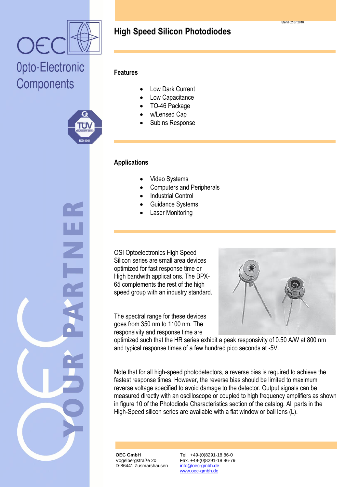



#### **Features**

- Low Dark Current
- Low Capacitance
- TO-46 Package
- w/Lensed Cap
- Sub ns Response

#### **Applications**

- Video Systems
- Computers and Peripherals
- Industrial Control
- Guidance Systems
- Laser Monitoring

OSI Optoelectronics High Speed Silicon series are small area devices optimized for fast response time or High bandwith applications. The BPX-65 complements the rest of the high speed group with an industry standard.

The spectral range for these devices goes from 350 nm to 1100 nm. The responsivity and response time are



optimized such that the HR series exhibit a peak responsivity of 0.50 A/W at 800 nm and typical response times of a few hundred pico seconds at -5V.

Note that for all high-speed photodetectors, a reverse bias is required to achieve the fastest response times. However, the reverse bias should be limited to maximum reverse voltage specified to avoid damage to the detector. Output signals can be measured directly with an oscilloscope or coupled to high frequency amplifiers as shown in figure 10 of the Photodiode Characteristics section of the catalog. All parts in the High-Speed silicon series are available with a flat window or ball lens (L).

**OEC GmbH** Vogelbergstraße 20 D-86441 Zusmarshausen Tel. +49-(0)8291-18 86-0 Fax. +49-(0)8291-18 86-79 info@oec-gmbh.de www.oec-gmbh.de

Stand 02.07.2018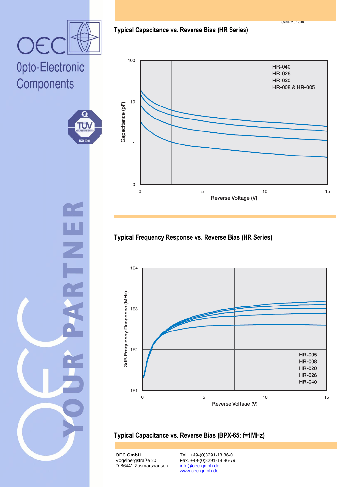**Typical Capacitance vs. Reverse Bias (HR Series)**

Stand 02.07.2018

# Opto-Electronic Components

OE





### **Typical Frequency Response vs. Reverse Bias (HR Series)**



**Typical Capacitance vs. Reverse Bias (BPX-65: f=1MHz)**

**OEC GmbH** Vogelbergstraße 20 D-86441 Zusmarshausen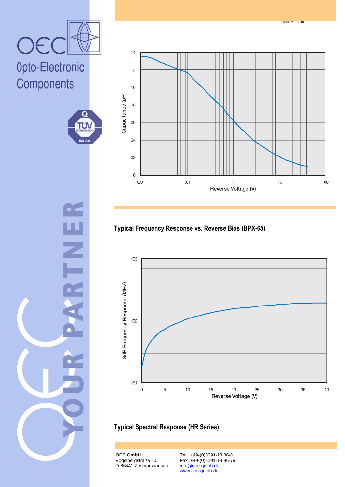



G

TÜ)

**ISO 900** 

Z

## Opto-Electronic Components



## **Typical Frequency Response vs. Reverse Bias (BPX-65)**



#### **Typical Spectral Response (HR Series)**

**OEC GmbH** Vogelbergstraße 20 D-86441 Zusmarshausen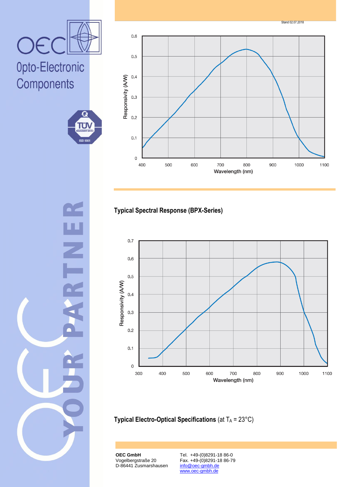





## **Typical Spectral Response (BPX-Series)**



**Typical Electro-Optical Specifications** (at T<sub>A</sub> = 23°C)

**OEC GmbH** Vogelbergstraße 20 D-86441 Zusmarshausen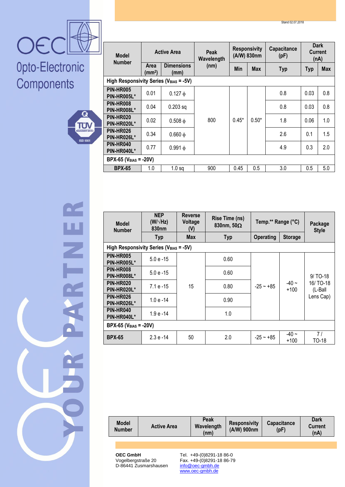



| <b>Model</b><br><b>Number</b>          |                      | <b>Active Area</b>        | Peak<br>Wavelength | <b>Responsivity</b><br>(A/W) 830nm |            | Capacitance<br>(pF) |            | <b>Dark</b><br><b>Current</b><br>(nA) |
|----------------------------------------|----------------------|---------------------------|--------------------|------------------------------------|------------|---------------------|------------|---------------------------------------|
|                                        | <b>Area</b><br>(mm²) | <b>Dimensions</b><br>(mm) | (nm)               | Min                                | <b>Max</b> | <b>Typ</b>          | <b>Typ</b> | <b>Max</b>                            |
| High Responsivity Series (VBIAS = -5V) |                      |                           |                    |                                    |            |                     |            |                                       |
| <b>PIN-HR005</b><br>PIN-HR005L*        | 0.01                 | $0.127 \phi$              |                    |                                    |            | 0.8                 | 0.03       | 0.8                                   |
| <b>PIN-HR008</b><br>PIN-HR008L*        | 0.04                 | $0.203$ sq                |                    |                                    |            | 0.8                 | 0.03       | 0.8                                   |
| <b>PIN-HR020</b><br>PIN-HR020L*        | 0.02                 | $0.508 \phi$              | 800                | $0.45*$                            | $0.50*$    | 1.8                 | 0.06       | 1.0                                   |
| <b>PIN-HR026</b><br>PIN-HR026L*        | 0.34                 | $0.660 \phi$              |                    |                                    |            | 2.6                 | 0.1        | 1.5                                   |
| <b>PIN-HR040</b><br>PIN-HR040L*        | 0.77                 | $0.991 \phi$              |                    |                                    |            | 4.9                 | 0.3        | 2.0                                   |
| $BPX-65 (V_{BIAS} = -20V)$             |                      |                           |                    |                                    |            |                     |            |                                       |
| <b>BPX-65</b>                          | 1.0                  | $1.0$ sq                  | 900                | 0.45                               | 0.5        | 3.0                 | 0.5        | 5.0                                   |
|                                        |                      |                           |                    |                                    |            |                     |            |                                       |

=<br>N

| <b>Model</b><br><b>Number</b>   | <b>NEP</b><br>$(W/\sqrt{Hz})$<br>830 <sub>nm</sub> | <b>Reverse</b><br>Rise Time (ns)<br>Voltage<br>830nm, $50\Omega$<br>(V)<br><b>Max</b><br><b>Typ</b><br><b>Typ</b> |      | Temp.** Range (°C)                 | Package<br><b>Style</b> |                                               |  |  |  |  |
|---------------------------------|----------------------------------------------------|-------------------------------------------------------------------------------------------------------------------|------|------------------------------------|-------------------------|-----------------------------------------------|--|--|--|--|
|                                 |                                                    |                                                                                                                   |      | <b>Operating</b><br><b>Storage</b> |                         |                                               |  |  |  |  |
|                                 | High Responsivity Series (V <sub>BIAS</sub> = -5V) |                                                                                                                   |      |                                    |                         |                                               |  |  |  |  |
| <b>PIN-HR005</b><br>PIN-HR005L* | $5.0 e - 15$                                       |                                                                                                                   | 0.60 |                                    |                         |                                               |  |  |  |  |
| PIN-HR008<br>PIN-HR008L*        | $5.0e - 15$                                        |                                                                                                                   | 0.60 | $-25 - +85$                        | $-40 -$<br>$+100$       | 9/ TO-18<br>16/ TO-18<br>(L-Ball<br>Lens Cap) |  |  |  |  |
| <b>PIN-HR020</b><br>PIN-HR020L* | 7.1 e -15                                          | 15                                                                                                                | 0.80 |                                    |                         |                                               |  |  |  |  |
| PIN-HR026<br>PIN-HR026L*        | $1.0e - 14$                                        |                                                                                                                   | 0.90 |                                    |                         |                                               |  |  |  |  |
| PIN-HR040<br>PIN-HR040L*        | 1.9 e -14                                          |                                                                                                                   | 1.0  |                                    |                         |                                               |  |  |  |  |
| $BPX-65 (V_{BIAS} = -20V)$      |                                                    |                                                                                                                   |      |                                    |                         |                                               |  |  |  |  |
| <b>BPX-65</b>                   | $2.3 e - 14$                                       | 50                                                                                                                | 2.0  | $-25 - +85$                        | $-40 \sim$<br>$+100$    | 7/<br>TO-18                                   |  |  |  |  |

| <b>Model</b><br><b>Number</b> | <b>Active Area</b> | Peak<br>Wavelength<br>(nm) | <b>Responsivity</b><br>(A/W) 900nm | <b>Capacitance</b><br>(pF) | Dark<br><b>Current</b><br>(nA) |
|-------------------------------|--------------------|----------------------------|------------------------------------|----------------------------|--------------------------------|
|                               |                    |                            |                                    |                            |                                |
|                               |                    |                            |                                    |                            |                                |

**OEC GmbH** Vogelbergstraße 20 D-86441 Zusmarshausen